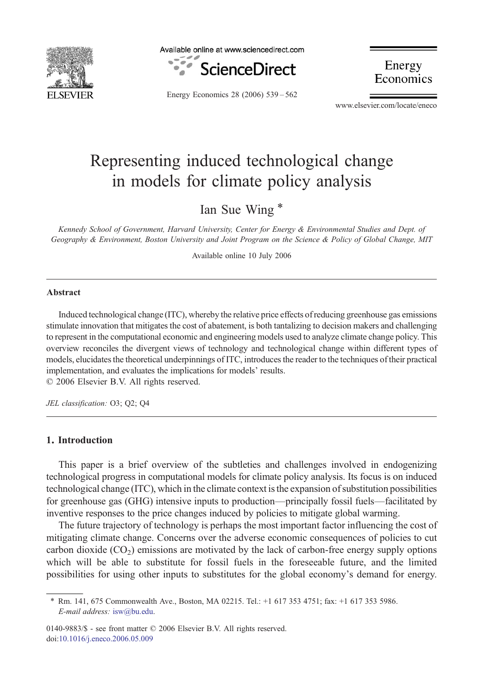

Available online at www.sciencedirect.com



Energy Economics 28 (2006) 539–562

Energy **Economics** 

www.elsevier.com/locate/eneco

# Representing induced technological change in models for climate policy analysis

Ian Sue Wing  $*$ 

Kennedy School of Government, Harvard University, Center for Energy & Environmental Studies and Dept. of Geography & Environment, Boston University and Joint Program on the Science & Policy of Global Change, MIT

Available online 10 July 2006

## Abstract

Induced technological change (ITC), whereby the relative price effects of reducing greenhouse gas emissions stimulate innovation that mitigates the cost of abatement, is both tantalizing to decision makers and challenging to represent in the computational economic and engineering models used to analyze climate change policy. This overview reconciles the divergent views of technology and technological change within different types of models, elucidates the theoretical underpinnings of ITC, introduces the reader to the techniques of their practical implementation, and evaluates the implications for models' results. © 2006 Elsevier B.V. All rights reserved.

JEL classification: O3; Q2; Q4

### 1. Introduction

This paper is a brief overview of the subtleties and challenges involved in endogenizing technological progress in computational models for climate policy analysis. Its focus is on induced technological change (ITC), which in the climate context is the expansion of substitution possibilities for greenhouse gas (GHG) intensive inputs to production—principally fossil fuels—facilitated by inventive responses to the price changes induced by policies to mitigate global warming.

The future trajectory of technology is perhaps the most important factor influencing the cost of mitigating climate change. Concerns over the adverse economic consequences of policies to cut carbon dioxide  $(CO<sub>2</sub>)$  emissions are motivated by the lack of carbon-free energy supply options which will be able to substitute for fossil fuels in the foreseeable future, and the limited possibilities for using other inputs to substitutes for the global economy's demand for energy.

0140-9883/\$ - see front matter © 2006 Elsevier B.V. All rights reserved. doi:[10.1016/j.eneco.2006.05.009](http://dx.doi.org/10.1016/j.eneco.2006.05.009)

<sup>⁎</sup> Rm. 141, 675 Commonwealth Ave., Boston, MA 02215. Tel.: +1 617 353 4751; fax: +1 617 353 5986. E-mail address: [isw@bu.edu.](mailto:isw@bu.edu)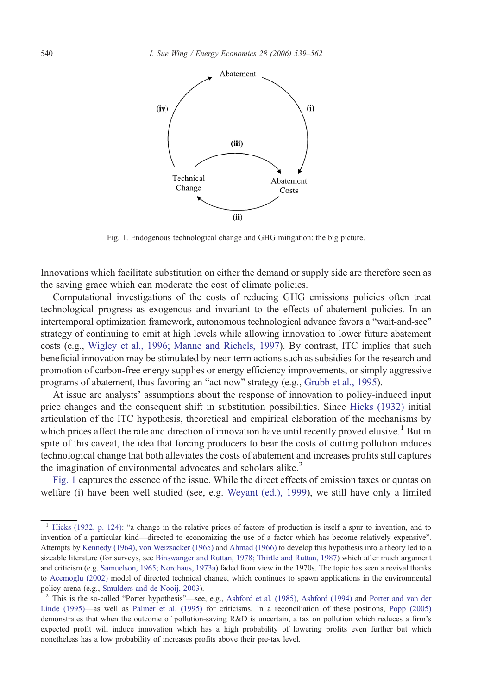<span id="page-1-0"></span>

Fig. 1. Endogenous technological change and GHG mitigation: the big picture.

Innovations which facilitate substitution on either the demand or supply side are therefore seen as the saving grace which can moderate the cost of climate policies.

Computational investigations of the costs of reducing GHG emissions policies often treat technological progress as exogenous and invariant to the effects of abatement policies. In an intertemporal optimization framework, autonomous technological advance favors a "wait-and-see" strategy of continuing to emit at high levels while allowing innovation to lower future abatement costs (e.g., [Wigley et al., 1996; Manne and Richels, 1997\)](#page-23-0). By contrast, ITC implies that such beneficial innovation may be stimulated by near-term actions such as subsidies for the research and promotion of carbon-free energy supplies or energy efficiency improvements, or simply aggressive programs of abatement, thus favoring an "act now" strategy (e.g., [Grubb et al., 1995](#page-22-0)).

At issue are analysts' assumptions about the response of innovation to policy-induced input price changes and the consequent shift in substitution possibilities. Since [Hicks \(1932\)](#page-22-0) initial articulation of the ITC hypothesis, theoretical and empirical elaboration of the mechanisms by which prices affect the rate and direction of innovation have until recently proved elusive.<sup>1</sup> But in spite of this caveat, the idea that forcing producers to bear the costs of cutting pollution induces technological change that both alleviates the costs of abatement and increases profits still captures the imagination of environmental advocates and scholars alike. $2$ 

Fig. 1 captures the essence of the issue. While the direct effects of emission taxes or quotas on welfare (i) have been well studied (see, e.g. [Weyant \(ed.\), 1999](#page-23-0)), we still have only a limited

<sup>&</sup>lt;sup>1</sup> [Hicks \(1932, p. 124\)](#page-22-0): "a change in the relative prices of factors of production is itself a spur to invention, and to invention of a particular kind—directed to economizing the use of a factor which has become relatively expensive". Attempts by [Kennedy \(1964\)](#page-22-0), [von Weizsacker \(1965\)](#page-23-0) and [Ahmad \(1966\)](#page-21-0) to develop this hypothesis into a theory led to a sizeable literature (for surveys, see [Binswanger and Ruttan, 1978; Thirtle and Ruttan, 1987](#page-21-0)) which after much argument and criticism (e.g. [Samuelson, 1965; Nordhaus, 1973a](#page-23-0)) faded from view in the 1970s. The topic has seen a revival thanks to [Acemoglu \(2002\)](#page-21-0) model of directed technical change, which continues to spawn applications in the environmental policy arena (e.g., [Smulders and de Nooij, 2003](#page-23-0)). <sup>2</sup> This is the so-called "Porter hypothesis"—see, e.g., [Ashford et al. \(1985\)](#page-21-0), [Ashford \(1994\)](#page-21-0) and [Porter and van der](#page-23-0)

[Linde \(1995\)](#page-23-0)—as well as [Palmer et al. \(1995\)](#page-23-0) for criticisms. In a reconciliation of these positions, [Popp \(2005\)](#page-23-0) demonstrates that when the outcome of pollution-saving R&D is uncertain, a tax on pollution which reduces a firm's expected profit will induce innovation which has a high probability of lowering profits even further but which nonetheless has a low probability of increases profits above their pre-tax level.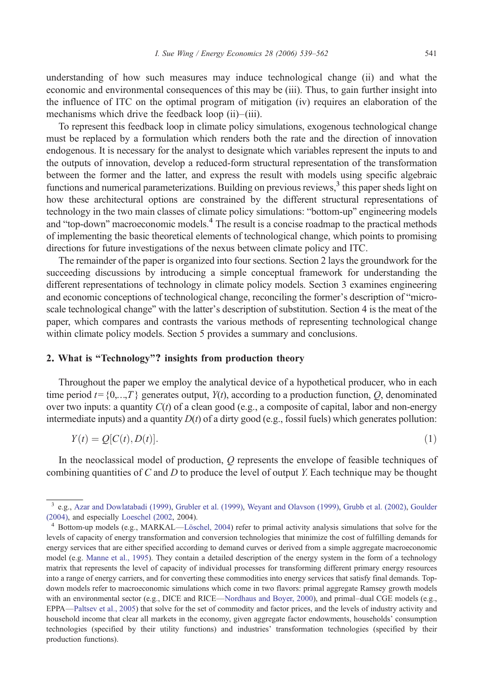understanding of how such measures may induce technological change (ii) and what the economic and environmental consequences of this may be (iii). Thus, to gain further insight into the influence of ITC on the optimal program of mitigation (iv) requires an elaboration of the mechanisms which drive the feedback loop (ii)–(iii).

To represent this feedback loop in climate policy simulations, exogenous technological change must be replaced by a formulation which renders both the rate and the direction of innovation endogenous. It is necessary for the analyst to designate which variables represent the inputs to and the outputs of innovation, develop a reduced-form structural representation of the transformation between the former and the latter, and express the result with models using specific algebraic functions and numerical parameterizations. Building on previous reviews, $3$  this paper sheds light on how these architectural options are constrained by the different structural representations of technology in the two main classes of climate policy simulations: "bottom-up" engineering models and "top-down" macroeconomic models.<sup>4</sup> The result is a concise roadmap to the practical methods of implementing the basic theoretical elements of technological change, which points to promising directions for future investigations of the nexus between climate policy and ITC.

The remainder of the paper is organized into four sections. Section 2 lays the groundwork for the succeeding discussions by introducing a simple conceptual framework for understanding the different representations of technology in climate policy models. Section 3 examines engineering and economic conceptions of technological change, reconciling the former's description of "microscale technological change" with the latter's description of substitution. Section 4 is the meat of the paper, which compares and contrasts the various methods of representing technological change within climate policy models. Section 5 provides a summary and conclusions.

# 2. What is "Technology"? insights from production theory

Throughout the paper we employ the analytical device of a hypothetical producer, who in each time period  $t = \{0, ..., T\}$  generates output,  $Y(t)$ , according to a production function, O, denominated over two inputs: a quantity  $C(t)$  of a clean good (e.g., a composite of capital, labor and non-energy intermediate inputs) and a quantity  $D(t)$  of a dirty good (e.g., fossil fuels) which generates pollution:

$$
Y(t) = Q[C(t), D(t)].
$$
\n<sup>(1)</sup>

In the neoclassical model of production, Q represents the envelope of feasible techniques of combining quantities of  $C$  and  $D$  to produce the level of output Y. Each technique may be thought

<sup>3</sup> e.g., [Azar and Dowlatabadi \(1999\),](#page-21-0) [Grubler et al. \(1999\),](#page-22-0) [Weyant and Olavson \(1999\),](#page-23-0) [Grubb et al. \(2002\),](#page-22-0) [Goulder](#page-22-0) [\(2004\)](#page-22-0), and especially [Loeschel \(2002,](#page-22-0) 2004). <sup>4</sup> Bottom-up models (e.g., MARKAL—[Löschel, 2004\)](#page-22-0) refer to primal activity analysis simulations that solve for the

levels of capacity of energy transformation and conversion technologies that minimize the cost of fulfilling demands for energy services that are either specified according to demand curves or derived from a simple aggregate macroeconomic model (e.g. [Manne et al., 1995](#page-22-0)). They contain a detailed description of the energy system in the form of a technology matrix that represents the level of capacity of individual processes for transforming different primary energy resources into a range of energy carriers, and for converting these commodities into energy services that satisfy final demands. Topdown models refer to macroeconomic simulations which come in two flavors: primal aggregate Ramsey growth models with an environmental sector (e.g., DICE and RICE—[Nordhaus and Boyer, 2000](#page-23-0)), and primal–dual CGE models (e.g., EPPA—[Paltsev et al., 2005\)](#page-23-0) that solve for the set of commodity and factor prices, and the levels of industry activity and household income that clear all markets in the economy, given aggregate factor endowments, households' consumption technologies (specified by their utility functions) and industries' transformation technologies (specified by their production functions).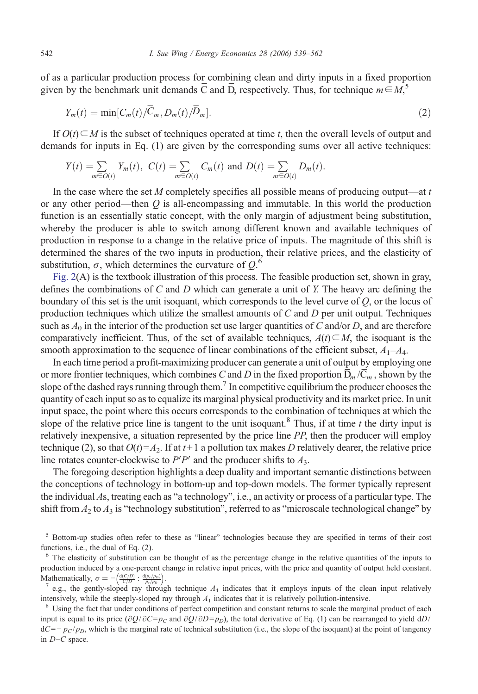of as a particular production process for combining clean and dirty inputs in a fixed proportion given by the benchmark unit demands  $\overline{C}$  and  $\overline{D}$ , respectively. Thus, for technique  $m \in M$ ,<sup>5</sup>

$$
Y_m(t) = \min[C_m(t)/\overline{C}_m, D_m(t)/\overline{D}_m].
$$
\n(2)

If  $O(t) \subseteq M$  is the subset of techniques operated at time t, then the overall levels of output and demands for inputs in Eq. (1) are given by the corresponding sums over all active techniques:

$$
Y(t) = \sum_{m \in O(t)} Y_m(t), \ C(t) = \sum_{m \in O(t)} C_m(t) \text{ and } D(t) = \sum_{m \in O(t)} D_m(t).
$$

In the case where the set M completely specifies all possible means of producing output—at  $t$ or any other period—then  $Q$  is all-encompassing and immutable. In this world the production function is an essentially static concept, with the only margin of adjustment being substitution, whereby the producer is able to switch among different known and available techniques of production in response to a change in the relative price of inputs. The magnitude of this shift is determined the shares of the two inputs in production, their relative prices, and the elasticity of substitution,  $\sigma$ , which determines the curvature of  $Q^6$ .

[Fig. 2](#page-5-0)(A) is the textbook illustration of this process. The feasible production set, shown in gray, defines the combinations of  $C$  and  $D$  which can generate a unit of  $Y$ . The heavy arc defining the boundary of this set is the unit isoquant, which corresponds to the level curve of  $Q$ , or the locus of production techniques which utilize the smallest amounts of  $C$  and  $D$  per unit output. Techniques such as  $A_0$  in the interior of the production set use larger quantities of C and/or D, and are therefore comparatively inefficient. Thus, of the set of available techniques,  $A(t) \subseteq M$ , the isoquant is the smooth approximation to the sequence of linear combinations of the efficient subset,  $A_1 - A_4$ .

In each time period a profit-maximizing producer can generate a unit of output by employing one or more frontier techniques, which combines C and D in the fixed proportion  $\overline{\overline{D}}_m / \overline{C}_m$ , shown by the slope of the dashed rays running through them.<sup>7</sup> In competitive equilibrium the producer chooses the quantity of each input so as to equalize its marginal physical productivity and its market price. In unit input space, the point where this occurs corresponds to the combination of techniques at which the slope of the relative price line is tangent to the unit isoquant.<sup>8</sup> Thus, if at time t the dirty input is relatively inexpensive, a situation represented by the price line  $PP$ , then the producer will employ technique (2), so that  $O(t)=A_2$ . If at  $t+1$  a pollution tax makes D relatively dearer, the relative price line rotates counter-clockwise to  $P'P'$  and the producer shifts to  $A_3$ .

The foregoing description highlights a deep duality and important semantic distinctions between the conceptions of technology in bottom-up and top-down models. The former typically represent the individual As, treating each as "a technology", i.e., an activity or process of a particular type. The shift from  $A_2$  to  $A_3$  is "technology substitution", referred to as "microscale technological change" by

<sup>5</sup> Bottom-up studies often refer to these as "linear" technologies because they are specified in terms of their cost functions, i.e., the dual of Eq. (2).

<sup>6</sup> The elasticity of substitution can be thought of as the percentage change in the relative quantities of the inputs to production induced by a one-percent change in relative input prices, with the price and quantity of output held constant. Mathematically,  $\sigma = -\left(\frac{d(C/D)}{C/D} \div \frac{d(p_c/p_D)}{p_c/p_D}\right)$ 

<sup>&</sup>lt;sup>7</sup> e.g., the gently-sloped ray through technique  $A_4$  indicates that it employs inputs of the clean input relatively intensively, while the steeply-sloped ray through  $A_1$  indicates that it is relatively pollution-inte

<sup>&</sup>lt;sup>8</sup> Using the fact that under conditions of perfect competition and constant returns to scale the marginal product of each input is equal to its price (∂Q/∂C= $p_c$  and ∂Q/∂D= $p_p$ ), the total derivative of Eq. (1) can be rearranged to yield dD/  $dC=-p_C/p_D$ , which is the marginal rate of technical substitution (i.e., the slope of the isoquant) at the point of tangency in D–C space.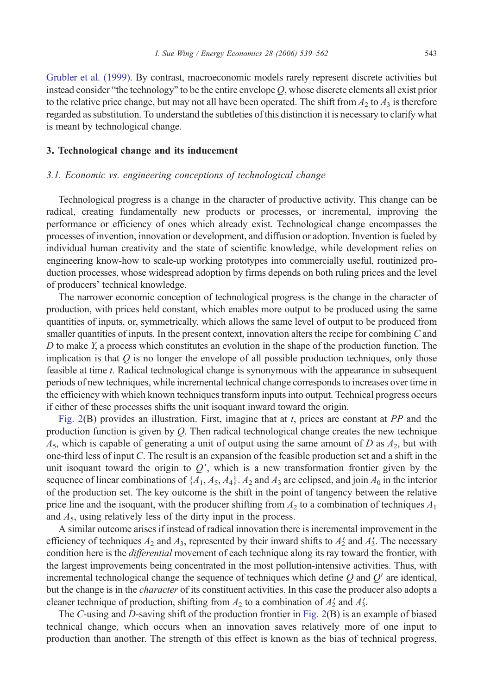[Grubler et al. \(1999\)](#page-22-0). By contrast, macroeconomic models rarely represent discrete activities but instead consider "the technology" to be the entire envelope  $Q$ , whose discrete elements all exist prior to the relative price change, but may not all have been operated. The shift from  $A_2$  to  $A_3$  is therefore regarded as substitution. To understand the subtleties of this distinction it is necessary to clarify what is meant by technological change.

# 3. Technological change and its inducement

## 3.1. Economic vs. engineering conceptions of technological change

Technological progress is a change in the character of productive activity. This change can be radical, creating fundamentally new products or processes, or incremental, improving the performance or efficiency of ones which already exist. Technological change encompasses the processes of invention, innovation or development, and diffusion or adoption. Invention is fueled by individual human creativity and the state of scientific knowledge, while development relies on engineering know-how to scale-up working prototypes into commercially useful, routinized production processes, whose widespread adoption by firms depends on both ruling prices and the level of producers' technical knowledge.

The narrower economic conception of technological progress is the change in the character of production, with prices held constant, which enables more output to be produced using the same quantities of inputs, or, symmetrically, which allows the same level of output to be produced from smaller quantities of inputs. In the present context, innovation alters the recipe for combining C and  $D$  to make  $Y$ , a process which constitutes an evolution in the shape of the production function. The implication is that  $Q$  is no longer the envelope of all possible production techniques, only those feasible at time t. Radical technological change is synonymous with the appearance in subsequent periods of new techniques, while incremental technical change corresponds to increases over time in the efficiency with which known techniques transform inputs into output. Technical progress occurs if either of these processes shifts the unit isoquant inward toward the origin.

Fig.  $2(B)$  provides an illustration. First, imagine that at t, prices are constant at PP and the production function is given by  $Q$ . Then radical technological change creates the new technique  $A_5$ , which is capable of generating a unit of output using the same amount of D as  $A_2$ , but with one-third less of input C. The result is an expansion of the feasible production set and a shift in the unit isoquant toward the origin to  $Q'$ , which is a new transformation frontier given by the sequence of linear combinations of  $\{A_1, A_5, A_4\}$ .  $A_2$  and  $A_3$  are eclipsed, and join  $A_0$  in the interior of the production set. The key outcome is the shift in the point of tangency between the relative price line and the isoquant, with the producer shifting from  $A_2$  to a combination of techniques  $A_1$ and  $A_5$ , using relatively less of the dirty input in the process.

A similar outcome arises if instead of radical innovation there is incremental improvement in the efficiency of techniques  $A_2$  and  $A_3$ , represented by their inward shifts to  $A'_2$  and  $A'_3$ . The necessary condition here is the *differential* movement of each technique along its ray toward the frontier, with the largest improvements being concentrated in the most pollution-intensive activities. Thus, with incremental technological change the sequence of techniques which define  $\hat{O}$  and  $\hat{O}'$  are identical, but the change is in the *character* of its constituent activities. In this case the producer also adopts a cleaner technique of production, shifting from  $A_2$  to a combination of  $A_2'$  and  $A_3'$ .

The C-using and D-saving shift of the production frontier in [Fig. 2\(](#page-5-0)B) is an example of biased technical change, which occurs when an innovation saves relatively more of one input to production than another. The strength of this effect is known as the bias of technical progress,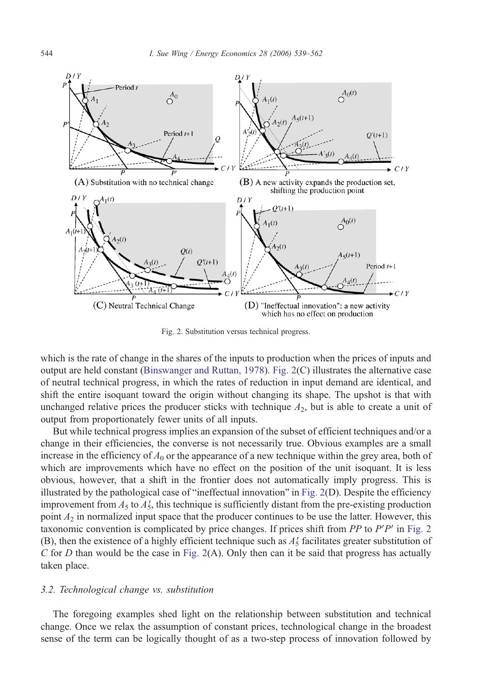<span id="page-5-0"></span>

Fig. 2. Substitution versus technical progress.

which is the rate of change in the shares of the inputs to production when the prices of inputs and output are held constant ([Binswanger and Ruttan, 1978\)](#page-21-0). Fig. 2(C) illustrates the alternative case of neutral technical progress, in which the rates of reduction in input demand are identical, and shift the entire isoquant toward the origin without changing its shape. The upshot is that with unchanged relative prices the producer sticks with technique  $A_2$ , but is able to create a unit of output from proportionately fewer units of all inputs.

But while technical progress implies an expansion of the subset of efficient techniques and/or a change in their efficiencies, the converse is not necessarily true. Obvious examples are a small increase in the efficiency of  $A_0$  or the appearance of a new technique within the grey area, both of which are improvements which have no effect on the position of the unit isoquant. It is less obvious, however, that a shift in the frontier does not automatically imply progress. This is illustrated by the pathological case of "ineffectual innovation" in Fig. 2(D). Despite the efficiency improvement from  $A_5$  to  $A'_5$ , this technique is sufficiently distant from the pre-existing production point  $A_2$  in normalized input space that the producer continues to be use the latter. However, this taxonomic convention is complicated by price changes. If prices shift from  $PP$  to  $P'P'$  in Fig. 2 (B), then the existence of a highly efficient technique such as  $A_5$  facilitates greater substitution of C for D than would be the case in Fig.  $2(A)$ . Only then can it be said that progress has actually taken place.

### 3.2. Technological change vs. substitution

The foregoing examples shed light on the relationship between substitution and technical change. Once we relax the assumption of constant prices, technological change in the broadest sense of the term can be logically thought of as a two-step process of innovation followed by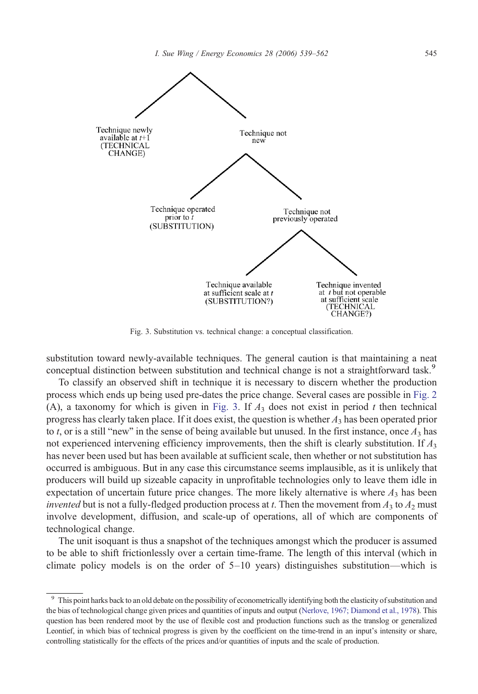

Fig. 3. Substitution vs. technical change: a conceptual classification.

substitution toward newly-available techniques. The general caution is that maintaining a neat conceptual distinction between substitution and technical change is not a straightforward task.<sup>9</sup>

To classify an observed shift in technique it is necessary to discern whether the production process which ends up being used pre-dates the price change. Several cases are possible in [Fig. 2](#page-5-0) (A), a taxonomy for which is given in Fig. 3. If  $A_3$  does not exist in period t then technical progress has clearly taken place. If it does exist, the question is whether  $A_3$  has been operated prior to t, or is a still "new" in the sense of being available but unused. In the first instance, once  $A_3$  has not experienced intervening efficiency improvements, then the shift is clearly substitution. If  $A_3$ has never been used but has been available at sufficient scale, then whether or not substitution has occurred is ambiguous. But in any case this circumstance seems implausible, as it is unlikely that producers will build up sizeable capacity in unprofitable technologies only to leave them idle in expectation of uncertain future price changes. The more likely alternative is where  $A_3$  has been *invented* but is not a fully-fledged production process at t. Then the movement from  $A_3$  to  $A_2$  must involve development, diffusion, and scale-up of operations, all of which are components of technological change.

The unit isoquant is thus a snapshot of the techniques amongst which the producer is assumed to be able to shift frictionlessly over a certain time-frame. The length of this interval (which in climate policy models is on the order of  $5-10$  years) distinguishes substitution—which is

<sup>9</sup> This point harks back to an old debate on the possibility of econometrically identifying both the elasticity of substitution and the bias of technological change given prices and quantities of inputs and output [\(Nerlove, 1967; Diamond et al., 1978\)](#page-23-0). This question has been rendered moot by the use of flexible cost and production functions such as the translog or generalized Leontief, in which bias of technical progress is given by the coefficient on the time-trend in an input's intensity or share, controlling statistically for the effects of the prices and/or quantities of inputs and the scale of production.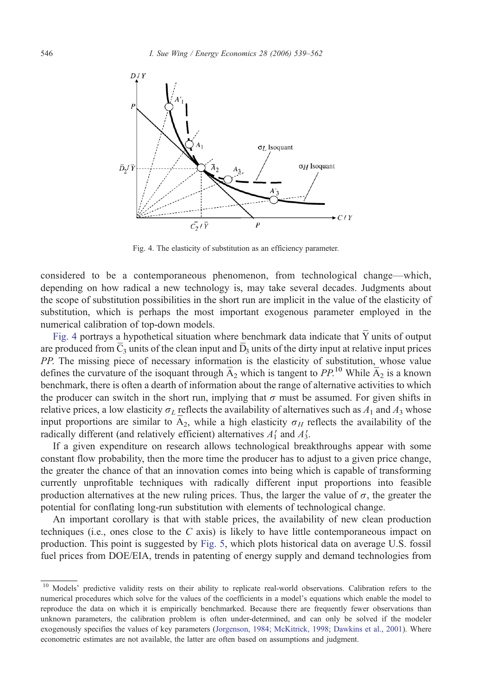

Fig. 4. The elasticity of substitution as an efficiency parameter.

considered to be a contemporaneous phenomenon, from technological change—which, depending on how radical a new technology is, may take several decades. Judgments about the scope of substitution possibilities in the short run are implicit in the value of the elasticity of substitution, which is perhaps the most important exogenous parameter employed in the numerical calibration of top-down models.

Fig. 4 portrays a hypothetical situation where benchmark data indicate that  $\overline{Y}$  units of output are produced from  $\bar{C}_3$  units of the clean input and  $\bar{D}_3$  units of the dirty input at relative input prices PP. The missing piece of necessary information is the elasticity of substitution, whose value defines the curvature of the isoquant through  $\overline{A}_2$  which is tangent to PP.<sup>10</sup> While  $\overline{A}_2$  is a known benchmark, there is often a dearth of information about the range of alternative activities to which the producer can switch in the short run, implying that  $\sigma$  must be assumed. For given shifts in relative prices, a low elasticity  $\sigma_L$  reflects the availability of alternatives such as  $A_1$  and  $A_3$  whose input proportions are similar to A<sub>2</sub>, while a high elasticity  $\sigma_H$  reflects the availability of the radically different (and relatively efficient) alternatives  $A_1'$  and  $A_3'$ .

If a given expenditure on research allows technological breakthroughs appear with some constant flow probability, then the more time the producer has to adjust to a given price change, the greater the chance of that an innovation comes into being which is capable of transforming currently unprofitable techniques with radically different input proportions into feasible production alternatives at the new ruling prices. Thus, the larger the value of  $\sigma$ , the greater the potential for conflating long-run substitution with elements of technological change.

An important corollary is that with stable prices, the availability of new clean production techniques (i.e., ones close to the  $C$  axis) is likely to have little contemporaneous impact on production. This point is suggested by [Fig. 5](#page-8-0), which plots historical data on average U.S. fossil fuel prices from DOE/EIA, trends in patenting of energy supply and demand technologies from

<sup>&</sup>lt;sup>10</sup> Models' predictive validity rests on their ability to replicate real-world observations. Calibration refers to the numerical procedures which solve for the values of the coefficients in a model's equations which enable the model to reproduce the data on which it is empirically benchmarked. Because there are frequently fewer observations than unknown parameters, the calibration problem is often under-determined, and can only be solved if the modeler exogenously specifies the values of key parameters [\(Jorgenson, 1984; McKitrick, 1998; Dawkins et al., 2001](#page-22-0)). Where econometric estimates are not available, the latter are often based on assumptions and judgment.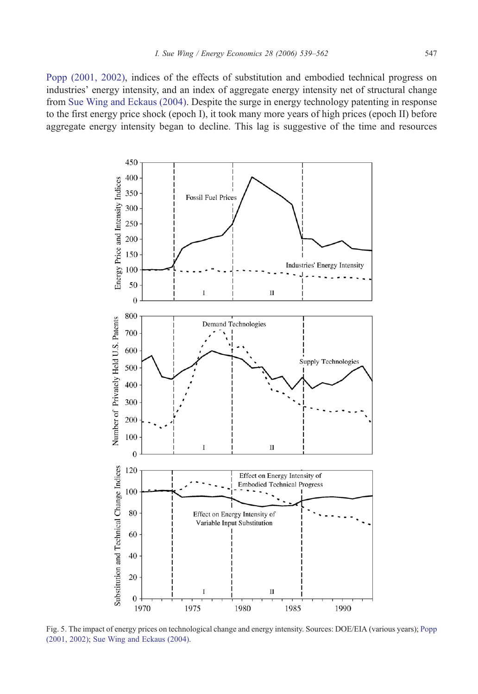<span id="page-8-0"></span>[Popp \(2001, 2002\)](#page-23-0), indices of the effects of substitution and embodied technical progress on industries' energy intensity, and an index of aggregate energy intensity net of structural change from [Sue Wing and Eckaus \(2004\)](#page-23-0). Despite the surge in energy technology patenting in response to the first energy price shock (epoch I), it took many more years of high prices (epoch II) before aggregate energy intensity began to decline. This lag is suggestive of the time and resources



Fig. 5. The impact of energy prices on technological change and energy intensity. Sources: DOE/EIA (various years); [Popp](#page-23-0) [\(2001, 2002\);](#page-23-0) [Sue Wing and Eckaus \(2004\)](#page-23-0).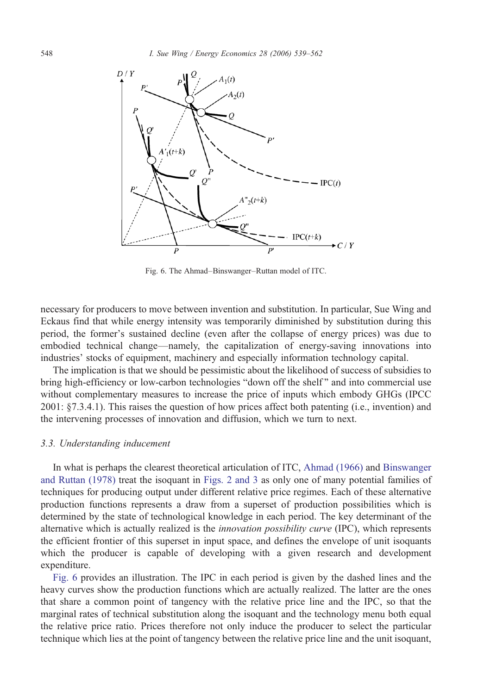<span id="page-9-0"></span>

Fig. 6. The Ahmad–Binswanger–Ruttan model of ITC.

necessary for producers to move between invention and substitution. In particular, Sue Wing and Eckaus find that while energy intensity was temporarily diminished by substitution during this period, the former's sustained decline (even after the collapse of energy prices) was due to embodied technical change—namely, the capitalization of energy-saving innovations into industries' stocks of equipment, machinery and especially information technology capital.

The implication is that we should be pessimistic about the likelihood of success of subsidies to bring high-efficiency or low-carbon technologies "down off the shelf " and into commercial use without complementary measures to increase the price of inputs which embody GHGs (IPCC 2001: §7.3.4.1). This raises the question of how prices affect both patenting (i.e., invention) and the intervening processes of innovation and diffusion, which we turn to next.

#### 3.3. Understanding inducement

In what is perhaps the clearest theoretical articulation of ITC, [Ahmad \(1966\)](#page-21-0) and [Binswanger](#page-21-0) [and Ruttan \(1978\)](#page-21-0) treat the isoquant in [Figs. 2 and 3](#page-5-0) as only one of many potential families of techniques for producing output under different relative price regimes. Each of these alternative production functions represents a draw from a superset of production possibilities which is determined by the state of technological knowledge in each period. The key determinant of the alternative which is actually realized is the *innovation possibility curve* (IPC), which represents the efficient frontier of this superset in input space, and defines the envelope of unit isoquants which the producer is capable of developing with a given research and development expenditure.

Fig. 6 provides an illustration. The IPC in each period is given by the dashed lines and the heavy curves show the production functions which are actually realized. The latter are the ones that share a common point of tangency with the relative price line and the IPC, so that the marginal rates of technical substitution along the isoquant and the technology menu both equal the relative price ratio. Prices therefore not only induce the producer to select the particular technique which lies at the point of tangency between the relative price line and the unit isoquant,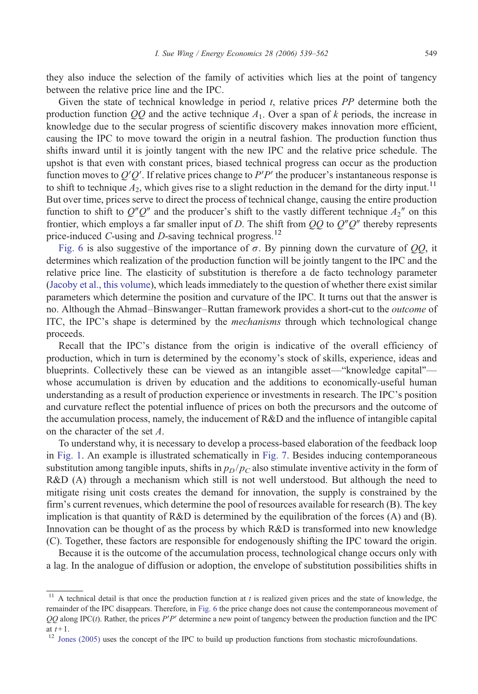they also induce the selection of the family of activities which lies at the point of tangency between the relative price line and the IPC.

Given the state of technical knowledge in period  $t$ , relative prices  $PP$  determine both the production function  $OO$  and the active technique  $A_1$ . Over a span of k periods, the increase in knowledge due to the secular progress of scientific discovery makes innovation more efficient, causing the IPC to move toward the origin in a neutral fashion. The production function thus shifts inward until it is jointly tangent with the new IPC and the relative price schedule. The upshot is that even with constant prices, biased technical progress can occur as the production function moves to  $Q'Q'$ . If relative prices change to  $P'P'$  the producer's instantaneous response is to shift to technique  $A_2$ , which gives rise to a slight reduction in the demand for the dirty input.<sup>11</sup> But over time, prices serve to direct the process of technical change, causing the entire production function to shift to  $O^{\prime\prime}O^{\prime\prime}$  and the producer's shift to the vastly different technique  $A_2$ <sup>"</sup> on this frontier, which employs a far smaller input of D. The shift from  $QQ$  to  $Q''Q''$  thereby represents price-induced  $C$ -using and  $D$ -saving technical progress.<sup>12</sup>

[Fig. 6](#page-9-0) is also suggestive of the importance of  $\sigma$ . By pinning down the curvature of QQ, it determines which realization of the production function will be jointly tangent to the IPC and the relative price line. The elasticity of substitution is therefore a de facto technology parameter ([Jacoby et al., this volume](#page-22-0)), which leads immediately to the question of whether there exist similar parameters which determine the position and curvature of the IPC. It turns out that the answer is no. Although the Ahmad–Binswanger–Ruttan framework provides a short-cut to the outcome of ITC, the IPC's shape is determined by the mechanisms through which technological change proceeds.

Recall that the IPC's distance from the origin is indicative of the overall efficiency of production, which in turn is determined by the economy's stock of skills, experience, ideas and blueprints. Collectively these can be viewed as an intangible asset—"knowledge capital" whose accumulation is driven by education and the additions to economically-useful human understanding as a result of production experience or investments in research. The IPC's position and curvature reflect the potential influence of prices on both the precursors and the outcome of the accumulation process, namely, the inducement of R&D and the influence of intangible capital on the character of the set A.

To understand why, it is necessary to develop a process-based elaboration of the feedback loop in [Fig. 1.](#page-1-0) An example is illustrated schematically in [Fig. 7.](#page-11-0) Besides inducing contemporaneous substitution among tangible inputs, shifts in  $p_D / p_C$  also stimulate inventive activity in the form of R&D (A) through a mechanism which still is not well understood. But although the need to mitigate rising unit costs creates the demand for innovation, the supply is constrained by the firm's current revenues, which determine the pool of resources available for research (B). The key implication is that quantity of R&D is determined by the equilibration of the forces (A) and (B). Innovation can be thought of as the process by which R&D is transformed into new knowledge (C). Together, these factors are responsible for endogenously shifting the IPC toward the origin.

Because it is the outcome of the accumulation process, technological change occurs only with a lag. In the analogue of diffusion or adoption, the envelope of substitution possibilities shifts in

<sup>&</sup>lt;sup>11</sup> A technical detail is that once the production function at t is realized given prices and the state of knowledge, the remainder of the IPC disappears. Therefore, in [Fig. 6](#page-9-0) the price change does not cause the contemporaneous movement of  $OO$  along IPC(t). Rather, the prices P'P' determine a new point of tangency between the production function and the IPC

at  $t+1$ .<br><sup>12</sup> [Jones \(2005\)](#page-22-0) uses the concept of the IPC to build up production functions from stochastic microfoundations.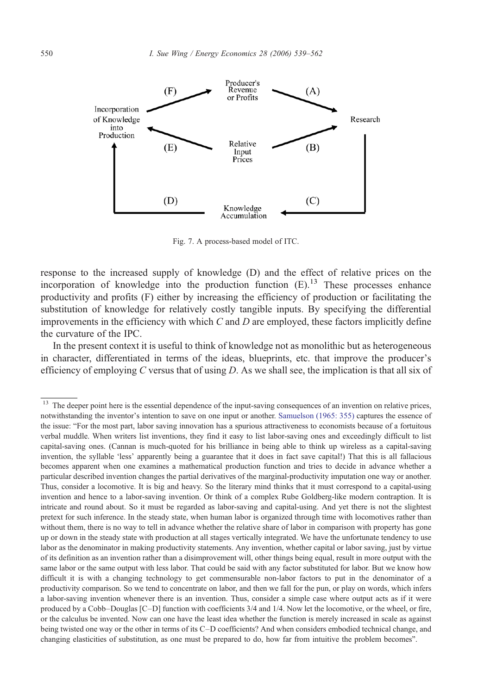<span id="page-11-0"></span>

Fig. 7. A process-based model of ITC.

response to the increased supply of knowledge (D) and the effect of relative prices on the incorporation of knowledge into the production function  $(E)$ .<sup>13</sup> These processes enhance productivity and profits (F) either by increasing the efficiency of production or facilitating the substitution of knowledge for relatively costly tangible inputs. By specifying the differential improvements in the efficiency with which  $C$  and  $D$  are employed, these factors implicitly define the curvature of the IPC.

In the present context it is useful to think of knowledge not as monolithic but as heterogeneous in character, differentiated in terms of the ideas, blueprints, etc. that improve the producer's efficiency of employing C versus that of using  $D$ . As we shall see, the implication is that all six of

The deeper point here is the essential dependence of the input-saving consequences of an invention on relative prices, notwithstanding the inventor's intention to save on one input or another. [Samuelson \(1965: 355\)](#page-23-0) captures the essence of the issue: "For the most part, labor saving innovation has a spurious attractiveness to economists because of a fortuitous verbal muddle. When writers list inventions, they find it easy to list labor-saving ones and exceedingly difficult to list capital-saving ones. (Cannan is much-quoted for his brilliance in being able to think up wireless as a capital-saving invention, the syllable 'less' apparently being a guarantee that it does in fact save capital!) That this is all fallacious becomes apparent when one examines a mathematical production function and tries to decide in advance whether a particular described invention changes the partial derivatives of the marginal-productivity imputation one way or another. Thus, consider a locomotive. It is big and heavy. So the literary mind thinks that it must correspond to a capital-using invention and hence to a labor-saving invention. Or think of a complex Rube Goldberg-like modern contraption. It is intricate and round about. So it must be regarded as labor-saving and capital-using. And yet there is not the slightest pretext for such inference. In the steady state, when human labor is organized through time with locomotives rather than without them, there is no way to tell in advance whether the relative share of labor in comparison with property has gone up or down in the steady state with production at all stages vertically integrated. We have the unfortunate tendency to use labor as the denominator in making productivity statements. Any invention, whether capital or labor saving, just by virtue of its definition as an invention rather than a disimprovement will, other things being equal, result in more output with the same labor or the same output with less labor. That could be said with any factor substituted for labor. But we know how difficult it is with a changing technology to get commensurable non-labor factors to put in the denominator of a productivity comparison. So we tend to concentrate on labor, and then we fall for the pun, or play on words, which infers a labor-saving invention whenever there is an invention. Thus, consider a simple case where output acts as if it were produced by a Cobb–Douglas [C–D] function with coefficients 3/4 and 1/4. Now let the locomotive, or the wheel, or fire, or the calculus be invented. Now can one have the least idea whether the function is merely increased in scale as against being twisted one way or the other in terms of its C–D coefficients? And when considers embodied technical change, and changing elasticities of substitution, as one must be prepared to do, how far from intuitive the problem becomes".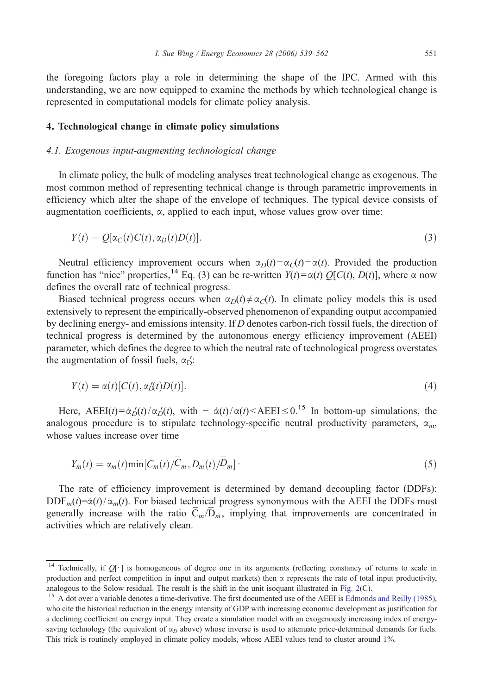the foregoing factors play a role in determining the shape of the IPC. Armed with this understanding, we are now equipped to examine the methods by which technological change is represented in computational models for climate policy analysis.

### 4. Technological change in climate policy simulations

## 4.1. Exogenous input-augmenting technological change

In climate policy, the bulk of modeling analyses treat technological change as exogenous. The most common method of representing technical change is through parametric improvements in efficiency which alter the shape of the envelope of techniques. The typical device consists of augmentation coefficients, α, applied to each input, whose values grow over time:

$$
Y(t) = Q[\alpha_C(t)C(t), \alpha_D(t)D(t)].
$$
\n(3)

Neutral efficiency improvement occurs when  $\alpha_D(t) = \alpha_C(t) = \alpha(t)$ . Provided the production function has "nice" properties,<sup>14</sup> Eq. (3) can be re-written  $Y(t) = \alpha(t) Q[C(t), D(t)]$ , where  $\alpha$  now defines the overall rate of technical progress.

Biased technical progress occurs when  $\alpha_D(t) \neq \alpha_C(t)$ . In climate policy models this is used extensively to represent the empirically-observed phenomenon of expanding output accompanied by declining energy- and emissions intensity. If D denotes carbon-rich fossil fuels, the direction of technical progress is determined by the autonomous energy efficiency improvement (AEEI) parameter, which defines the degree to which the neutral rate of technological progress overstates the augmentation of fossil fuels,  $\alpha_{\rm D}$ .

$$
Y(t) = \alpha(t)[C(t), \alpha \underline{\beta}(t)D(t)].
$$
\n(4)

Here,  $AEEI(t) = \dot{\alpha}_D(t)/\alpha_D'(t)$ , with  $-\dot{\alpha}(t)/\alpha(t) < AEEI \leq 0.15$  In bottom-up simulations, the analogous procedure is to stipulate technology-specific neutral productivity parameters,  $\alpha_m$ , whose values increase over time

$$
Y_m(t) = \alpha_m(t) \min[C_m(t)/\overline{C}_m, D_m(t)/\overline{D}_m] \tag{5}
$$

The rate of efficiency improvement is determined by demand decoupling factor (DDFs):  $\text{DDF}_{m}(t) = \dot{\alpha}(t)/\alpha_{m}(t)$ . For biased technical progress synonymous with the AEEI the DDFs must generally increase with the ratio  $\overline{C}_m/\overline{D}_m$ , implying that improvements are concentrated in activities which are relatively clean.

 $14$  Technically, if  $Q[\cdot]$  is homogeneous of degree one in its arguments (reflecting constancy of returns to scale in production and perfect competition in input and output markets) then  $\alpha$  represents the rate of total input productivity, analogous to the Solow residual. The result is the shift in the unit isoquant illustrated in [Fig. 2](#page-5-0)(C). <sup>15</sup> A dot over a variable denotes a time-derivative. The first documented use of the AEEI is Edmonds and Reilly (198

who cite the historical reduction in the energy intensity of GDP with increasing economic development as justification for a declining coefficient on energy input. They create a simulation model with an exogenously increasing index of energysaving technology (the equivalent of  $\alpha_D$  above) whose inverse is used to attenuate price-determined demands for fuels. This trick is routinely employed in climate policy models, whose AEEI values tend to cluster around 1%.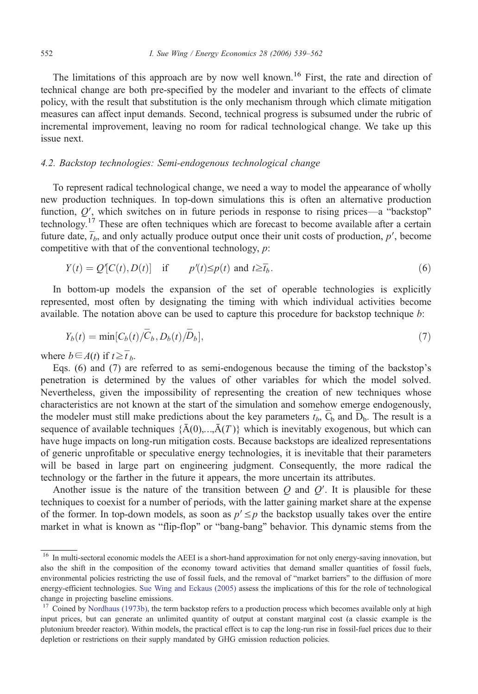The limitations of this approach are by now well known.<sup>16</sup> First, the rate and direction of technical change are both pre-specified by the modeler and invariant to the effects of climate policy, with the result that substitution is the only mechanism through which climate mitigation measures can affect input demands. Second, technical progress is subsumed under the rubric of incremental improvement, leaving no room for radical technological change. We take up this issue next.

# 4.2. Backstop technologies: Semi-endogenous technological change

To represent radical technological change, we need a way to model the appearance of wholly new production techniques. In top-down simulations this is often an alternative production function,  $O'$ , which switches on in future periods in response to rising prices—a "backstop" technology.<sup>17</sup> These are often techniques which are forecast to become available after a certain future date,  $\bar{t}_b$ , and only actually produce output once their unit costs of production, p', become competitive with that of the conventional technology,  $p$ :

$$
Y(t) = Q'[C(t), D(t)] \quad \text{if} \qquad p'(t) \le p(t) \text{ and } t \ge \overline{t}_b. \tag{6}
$$

In bottom-up models the expansion of the set of operable technologies is explicitly represented, most often by designating the timing with which individual activities become available. The notation above can be used to capture this procedure for backstop technique  $b$ :

$$
Y_b(t) = \min[C_b(t)/\overline{C}_b, D_b(t)/\overline{D}_b],\tag{7}
$$

where  $b \in A(t)$  if  $t \geq \overline{t}_b$ .

Eqs. (6) and (7) are referred to as semi-endogenous because the timing of the backstop's penetration is determined by the values of other variables for which the model solved. Nevertheless, given the impossibility of representing the creation of new techniques whose characteristics are not known at the start of the simulation and somehow emerge endogenously, the modeler must still make predictions about the key parameters  $\overline{t_b}$ ,  $\overline{C_b}$  and  $\overline{D_b}$ . The result is a sequence of available techniques  $\{\bar{A}(0),...,\bar{A}(T)\}\$  which is inevitably exogenous, but which can have huge impacts on long-run mitigation costs. Because backstops are idealized representations of generic unprofitable or speculative energy technologies, it is inevitable that their parameters will be based in large part on engineering judgment. Consequently, the more radical the technology or the farther in the future it appears, the more uncertain its attributes.

Another issue is the nature of the transition between  $O$  and  $O'$ . It is plausible for these techniques to coexist for a number of periods, with the latter gaining market share at the expense of the former. In top-down models, as soon as  $p' \leq p$  the backstop usually takes over the entire market in what is known as "flip-flop" or "bang-bang" behavior. This dynamic stems from the

<sup>&</sup>lt;sup>16</sup> In multi-sectoral economic models the AEEI is a short-hand approximation for not only energy-saving innovation, but also the shift in the composition of the economy toward activities that demand smaller quantities of fossil fuels, environmental policies restricting the use of fossil fuels, and the removal of "market barriers" to the diffusion of more energy-efficient technologies. [Sue Wing and Eckaus \(2005\)](#page-23-0) assess the implications of this for the role of technological change in projecting baseline emissions.

<sup>&</sup>lt;sup>17</sup> Coined by [Nordhaus \(1973b\)](#page-23-0), the term backstop refers to a production process which becomes available only at high input prices, but can generate an unlimited quantity of output at constant marginal cost (a classic example is the plutonium breeder reactor). Within models, the practical effect is to cap the long-run rise in fossil-fuel prices due to their depletion or restrictions on their supply mandated by GHG emission reduction policies.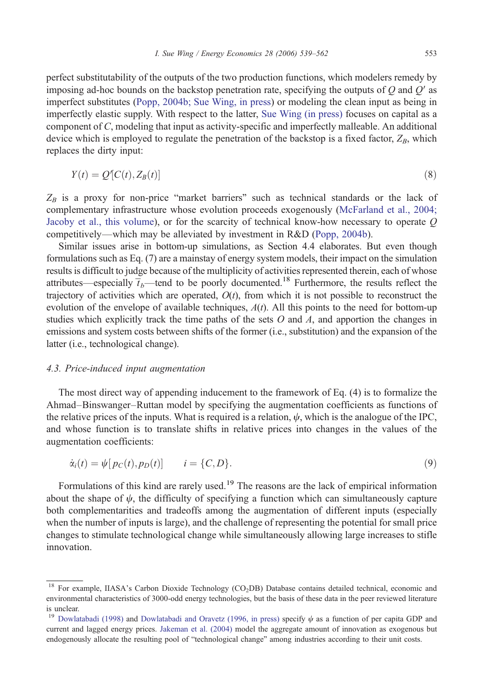perfect substitutability of the outputs of the two production functions, which modelers remedy by imposing ad-hoc bounds on the backstop penetration rate, specifying the outputs of  $Q$  and  $Q'$  as imperfect substitutes ([Popp, 2004b; Sue Wing, in press](#page-23-0)) or modeling the clean input as being in imperfectly elastic supply. With respect to the latter, [Sue Wing \(in press\)](#page-23-0) focuses on capital as a component of C, modeling that input as activity-specific and imperfectly malleable. An additional device which is employed to regulate the penetration of the backstop is a fixed factor,  $Z_B$ , which replaces the dirty input:

$$
Y(t) = Q'[C(t), Z_B(t)] \tag{8}
$$

 $Z_B$  is a proxy for non-price "market barriers" such as technical standards or the lack of complementary infrastructure whose evolution proceeds exogenously [\(McFarland et al., 2004;](#page-23-0) [Jacoby et al., this volume\)](#page-23-0), or for the scarcity of technical know-how necessary to operate  $Q$ competitively—which may be alleviated by investment in R&D ([Popp, 2004b\)](#page-23-0).

Similar issues arise in bottom-up simulations, as Section 4.4 elaborates. But even though formulations such as Eq. (7) are a mainstay of energy system models, their impact on the simulation results is difficult to judge because of the multiplicity of activities represented therein, each of whose attributes—especially  $\bar{t}_b$ —tend to be poorly documented.<sup>18</sup> Furthermore, the results reflect the trajectory of activities which are operated,  $O(t)$ , from which it is not possible to reconstruct the evolution of the envelope of available techniques,  $A(t)$ . All this points to the need for bottom-up studies which explicitly track the time paths of the sets  $O$  and  $A$ , and apportion the changes in emissions and system costs between shifts of the former (i.e., substitution) and the expansion of the latter (i.e., technological change).

## 4.3. Price-induced input augmentation

The most direct way of appending inducement to the framework of Eq. (4) is to formalize the Ahmad–Binswanger–Ruttan model by specifying the augmentation coefficients as functions of the relative prices of the inputs. What is required is a relation,  $\psi$ , which is the analogue of the IPC, and whose function is to translate shifts in relative prices into changes in the values of the augmentation coefficients:

$$
\dot{\alpha}_i(t) = \psi[p_C(t), p_D(t)] \qquad i = \{C, D\}.
$$
\n
$$
(9)
$$

Formulations of this kind are rarely used.<sup>19</sup> The reasons are the lack of empirical information about the shape of  $\psi$ , the difficulty of specifying a function which can simultaneously capture both complementarities and tradeoffs among the augmentation of different inputs (especially when the number of inputs is large), and the challenge of representing the potential for small price changes to stimulate technological change while simultaneously allowing large increases to stifle innovation.

<sup>&</sup>lt;sup>18</sup> For example, IIASA's Carbon Dioxide Technology (CO<sub>2</sub>DB) Database contains detailed technical, economic and environmental characteristics of 3000-odd energy technologies, but the basis of these data in the peer reviewed literature is unclear.

<sup>&</sup>lt;sup>19</sup> [Dowlatabadi \(1998\)](#page-21-0) and [Dowlatabadi and Oravetz \(1996, in press\)](#page-21-0) specify  $\psi$  as a function of per capita GDP and current and lagged energy prices. [Jakeman et al. \(2004\)](#page-22-0) model the aggregate amount of innovation as exogenous but endogenously allocate the resulting pool of "technological change" among industries according to their unit costs.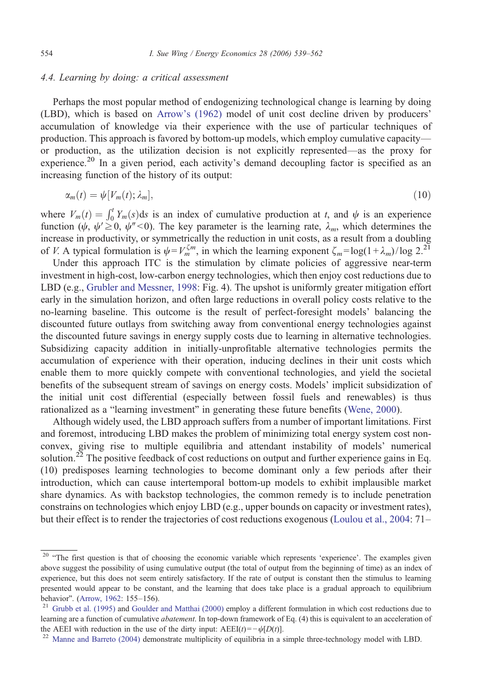# 4.4. Learning by doing: a critical assessment

Perhaps the most popular method of endogenizing technological change is learning by doing (LBD), which is based on [Arrow's \(1962\)](#page-21-0) model of unit cost decline driven by producers' accumulation of knowledge via their experience with the use of particular techniques of production. This approach is favored by bottom-up models, which employ cumulative capacity or production, as the utilization decision is not explicitly represented—as the proxy for experience.<sup>20</sup> In a given period, each activity's demand decoupling factor is specified as an increasing function of the history of its output:

$$
\alpha_m(t) = \psi[V_m(t); \lambda_m],\tag{10}
$$

where  $V_m(t) = \int_0^t Y_m(s) ds$  is an index of cumulative production at t, and  $\psi$  is an experience<br>function  $(\psi, \psi') > 0$ ,  $\psi'' < 0$ ). The key parameter is the learning rate  $\lambda$ , which determines the function ( $\psi, \psi' \ge 0, \psi'' < 0$ ). The key parameter is the learning rate,  $\lambda_m$ , which determines the increase in productivity, or symmetrically the reduction in unit costs, as a result from a doubling of V. A typical formulation is  $\psi = V_m^{\zeta_m}$ , in which the learning exponent  $\zeta_m = \log(1 + \lambda_m)/\log 2$ .<sup>21</sup>

Under this approach ITC is the stimulation by climate policies of aggressive near-term investment in high-cost, low-carbon energy technologies, which then enjoy cost reductions due to LBD (e.g., [Grubler and Messner, 1998](#page-22-0): Fig. 4). The upshot is uniformly greater mitigation effort early in the simulation horizon, and often large reductions in overall policy costs relative to the no-learning baseline. This outcome is the result of perfect-foresight models' balancing the discounted future outlays from switching away from conventional energy technologies against the discounted future savings in energy supply costs due to learning in alternative technologies. Subsidizing capacity addition in initially-unprofitable alternative technologies permits the accumulation of experience with their operation, inducing declines in their unit costs which enable them to more quickly compete with conventional technologies, and yield the societal benefits of the subsequent stream of savings on energy costs. Models' implicit subsidization of the initial unit cost differential (especially between fossil fuels and renewables) is thus rationalized as a "learning investment" in generating these future benefits [\(Wene, 2000](#page-23-0)).

Although widely used, the LBD approach suffers from a number of important limitations. First and foremost, introducing LBD makes the problem of minimizing total energy system cost nonconvex, giving rise to multiple equilibria and attendant instability of models' numerical solution.<sup>22</sup> The positive feedback of cost reductions on output and further experience gains in Eq. (10) predisposes learning technologies to become dominant only a few periods after their introduction, which can cause intertemporal bottom-up models to exhibit implausible market share dynamics. As with backstop technologies, the common remedy is to include penetration constrains on technologies which enjoy LBD (e.g., upper bounds on capacity or investment rates), but their effect is to render the trajectories of cost reductions exogenous ([Loulou et al., 2004](#page-22-0): 71–

<sup>&</sup>lt;sup>20</sup> "The first question is that of choosing the economic variable which represents 'experience'. The examples given above suggest the possibility of using cumulative output (the total of output from the beginning of time) as an index of experience, but this does not seem entirely satisfactory. If the rate of output is constant then the stimulus to learning presented would appear to be constant, and the learning that does take place is a gradual approach to equilibrium behavior". ([Arrow, 1962](#page-21-0): 155–156).<br><sup>21</sup> [Grubb et al. \(1995\)](#page-22-0) and [Goulder and Matthai \(2000\)](#page-22-0) employ a different formulation in which cost reductions due to

learning are a function of cumulative *abatement*. In top-down framework of Eq. (4) this is equivalent to an acceleration of the AEEI with reduction in the use of the dirty input:  $AEEI(t) = -\psi[D(t)]$ .

<sup>&</sup>lt;sup>22</sup> [Manne and Barreto \(2004\)](#page-22-0) demonstrate multiplicity of equilibria in a simple three-technology model with LBD.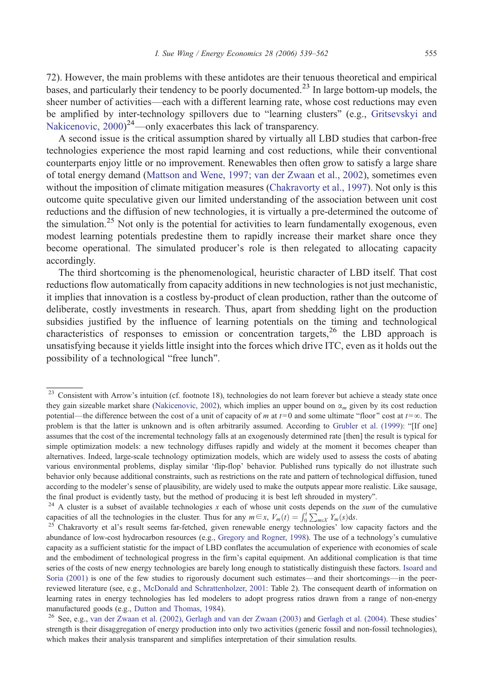72). However, the main problems with these antidotes are their tenuous theoretical and empirical bases, and particularly their tendency to be poorly documented.<sup>23</sup> In large bottom-up models, the sheer number of activities—each with a different learning rate, whose cost reductions may even be amplified by inter-technology spillovers due to "learning clusters" (e.g., [Gritsevskyi and](#page-22-0) [Nakicenovic, 2000\)](#page-22-0)<sup>24</sup>—only exacerbates this lack of transparency.

A second issue is the critical assumption shared by virtually all LBD studies that carbon-free technologies experience the most rapid learning and cost reductions, while their conventional counterparts enjoy little or no improvement. Renewables then often grow to satisfy a large share of total energy demand ([Mattson and Wene, 1997; van der Zwaan et al., 2002\)](#page-22-0), sometimes even without the imposition of climate mitigation measures ([Chakravorty et al., 1997\)](#page-21-0). Not only is this outcome quite speculative given our limited understanding of the association between unit cost reductions and the diffusion of new technologies, it is virtually a pre-determined the outcome of the simulation.<sup>25</sup> Not only is the potential for activities to learn fundamentally exogenous, even modest learning potentials predestine them to rapidly increase their market share once they become operational. The simulated producer's role is then relegated to allocating capacity accordingly.

The third shortcoming is the phenomenological, heuristic character of LBD itself. That cost reductions flow automatically from capacity additions in new technologies is not just mechanistic, it implies that innovation is a costless by-product of clean production, rather than the outcome of deliberate, costly investments in research. Thus, apart from shedding light on the production subsidies justified by the influence of learning potentials on the timing and technological characteristics of responses to emission or concentration targets,  $^{26}$  the LBD approach is unsatisfying because it yields little insight into the forces which drive ITC, even as it holds out the possibility of a technological "free lunch".

<sup>23</sup> Consistent with Arrow's intuition (cf. footnote 18), technologies do not learn forever but achieve a steady state once they gain sizeable market share ([Nakicenovic, 2002](#page-23-0)), which implies an upper bound on  $\alpha_m$  given by its cost reduction potential—the difference between the cost of a unit of capacity of m at  $t=0$  and some ultimate "floor" cost at  $t=\infty$ . The problem is that the latter is unknown and is often arbitrarily assumed. According to [Grubler et al. \(1999\)](#page-22-0): "[If one] assumes that the cost of the incremental technology falls at an exogenously determined rate [then] the result is typical for simple optimization models: a new technology diffuses rapidly and widely at the moment it becomes cheaper than alternatives. Indeed, large-scale technology optimization models, which are widely used to assess the costs of abating various environmental problems, display similar 'flip-flop' behavior. Published runs typically do not illustrate such behavior only because additional constraints, such as restrictions on the rate and pattern of technological diffusion, tuned according to the modeler's sense of plausibility, are widely used to make the outputs appear more realistic. Like sausage, the final product is evidently tasty, but the method of producing it is best left shrouded in mystery".<br><sup>24</sup> A cluster is a subset of available technologies x each of whose unit costs depends on the *sum* of the cumulativ

capacities of all the technologies in the cluster. Thus for any  $m \in x$ ,  $V_m(t) = \int_0^t \sum_{n=1}^{\infty} C_n^t \exp\left(-\frac{1}{n} \int_0^t \sum_{n=1}^{\infty} C_n^t \right)$ 

<sup>&</sup>lt;sup>25</sup> Chakravorty et al's result seems far-fetched, given renewable energy technologies' low capacity factors and the abundance of low-cost hydrocarbon resources (e.g., [Gregory and Rogner, 1998\)](#page-22-0). The use of a technology's cumulative capacity as a sufficient statistic for the impact of LBD conflates the accumulation of experience with economies of scale and the embodiment of technological progress in the firm's capital equipment. An additional complication is that time series of the costs of new energy technologies are barely long enough to statistically distinguish these factors. [Isoard and](#page-22-0) [Soria \(2001\)](#page-22-0) is one of the few studies to rigorously document such estimates—and their shortcomings—in the peerreviewed literature (see, e.g., [McDonald and Schrattenholzer, 2001](#page-23-0): Table 2). The consequent dearth of information on learning rates in energy technologies has led modelers to adopt progress ratios drawn from a range of non-energy manufactured goods (e.g., [Dutton and Thomas, 1984](#page-21-0)).<br><sup>26</sup> See, e.g., [van der Zwaan et al. \(2002\),](#page-23-0) [Gerlagh and van der Zwaan \(2003\)](#page-22-0) and [Gerlagh et al. \(2004\).](#page-22-0) These studies'

strength is their disaggregation of energy production into only two activities (generic fossil and non-fossil technologies), which makes their analysis transparent and simplifies interpretation of their simulation results.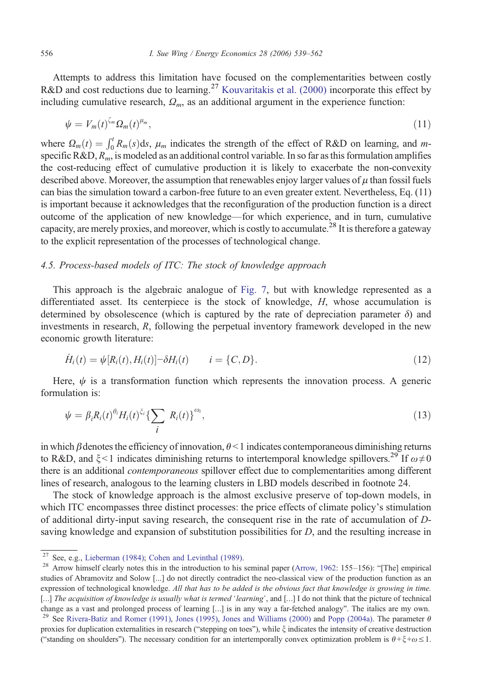Attempts to address this limitation have focused on the complementarities between costly R&D and cost reductions due to learning.<sup>27</sup> [Kouvaritakis et al. \(2000\)](#page-22-0) incorporate this effect by including cumulative research,  $\Omega_m$ , as an additional argument in the experience function:

$$
\psi = V_m(t)^{\zeta_m} \Omega_m(t)^{\mu_m},\tag{11}
$$

where  $\Omega_m(t) = \int_0^t R_m(s) \, ds$ ,  $\mu_m$  indicates the strength of the effect of R&D on learning, and *m*-<br>specific R&D, *R* is modeled as an additional control variable. In so far as this formulation amplifies specific  $R&D, R_m$ , is modeled as an additional control variable. In so far as this formulation amplifies the cost-reducing effect of cumulative production it is likely to exacerbate the non-convexity described above. Moreover, the assumption that renewables enjoy larger values of  $\mu$  than fossil fuels can bias the simulation toward a carbon-free future to an even greater extent. Nevertheless, Eq. (11) is important because it acknowledges that the reconfiguration of the production function is a direct outcome of the application of new knowledge—for which experience, and in turn, cumulative capacity, are merely proxies, and moreover, which is costly to accumulate.<sup>28</sup> It is therefore a gateway to the explicit representation of the processes of technological change.

# 4.5. Process-based models of ITC: The stock of knowledge approach

This approach is the algebraic analogue of [Fig. 7](#page-11-0), but with knowledge represented as a differentiated asset. Its centerpiece is the stock of knowledge,  $H$ , whose accumulation is determined by obsolescence (which is captured by the rate of depreciation parameter  $\delta$ ) and investments in research, R, following the perpetual inventory framework developed in the new economic growth literature:

$$
\dot{H}_i(t) = \psi[R_i(t), H_i(t)] - \delta H_i(t) \qquad i = \{C, D\}.
$$
\n
$$
(12)
$$

Here,  $\psi$  is a transformation function which represents the innovation process. A generic formulation is:

$$
\psi = \beta_i R_i(t)^{\theta_i} H_i(t)^{\xi_i} \left\{ \sum_i R_i(t) \right\}^{\omega_i},\tag{13}
$$

in which  $\beta$  denotes the efficiency of innovation,  $\theta$ <1 indicates contemporaneous diminishing returns to R&D, and  $\xi$ <1 indicates diminishing returns to intertemporal knowledge spillovers.<sup>29</sup> If  $\omega \neq 0$ there is an additional *contemporaneous* spillover effect due to complementarities among different lines of research, analogous to the learning clusters in LBD models described in footnote 24.

The stock of knowledge approach is the almost exclusive preserve of top-down models, in which ITC encompasses three distinct processes: the price effects of climate policy's stimulation of additional dirty-input saving research, the consequent rise in the rate of accumulation of Dsaving knowledge and expansion of substitution possibilities for D, and the resulting increase in

<sup>&</sup>lt;sup>27</sup> See, e.g., [Lieberman \(1984\);](#page-22-0) [Cohen and Levinthal \(1989\)](#page-21-0).<br><sup>28</sup> Arrow himself clearly notes this in the introduction to his seminal paper ([Arrow, 1962:](#page-21-0) 155–156): "[The] empirical studies of Abramovitz and Solow [...] do not directly contradict the neo-classical view of the production function as an expression of technological knowledge. All that has to be added is the obvious fact that knowledge is growing in time. [...] The acquisition of knowledge is usually what is termed 'learning', and [...] I do not think that the picture of technical

change as a vast and prolonged process of learning [...] is in any way a far-fetched analogy". The italics are my own.<br><sup>29</sup> See [Rivera-Batiz and Romer \(1991\)](#page-23-0), [Jones \(1995\)](#page-22-0), [Jones and Williams \(2000\)](#page-22-0) and [Popp \(2004a\).](#page-23-0) The proxies for duplication externalities in research ("stepping on toes"), while ξ indicates the intensity of creative destruction ("standing on shoulders"). The necessary condition for an intertemporally convex optimization problem is  $\theta + \xi + \omega \leq 1$ .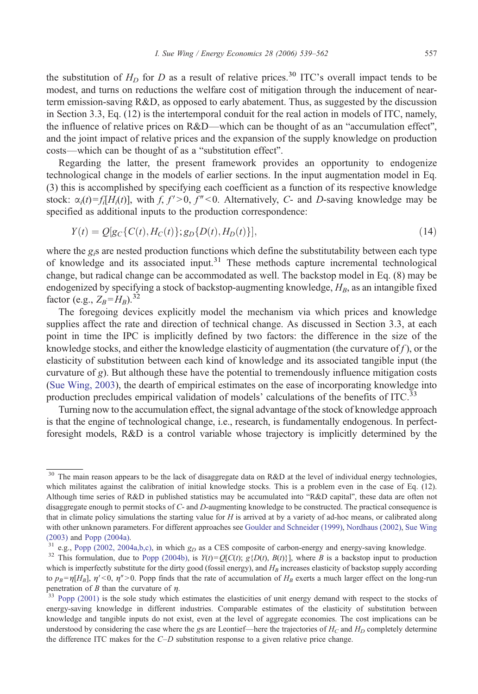the substitution of  $H_D$  for D as a result of relative prices.<sup>30</sup> ITC's overall impact tends to be modest, and turns on reductions the welfare cost of mitigation through the inducement of nearterm emission-saving R&D, as opposed to early abatement. Thus, as suggested by the discussion in Section 3.3, Eq. (12) is the intertemporal conduit for the real action in models of ITC, namely, the influence of relative prices on R&D—which can be thought of as an "accumulation effect", and the joint impact of relative prices and the expansion of the supply knowledge on production costs—which can be thought of as a "substitution effect".

Regarding the latter, the present framework provides an opportunity to endogenize technological change in the models of earlier sections. In the input augmentation model in Eq. (3) this is accomplished by specifying each coefficient as a function of its respective knowledge stock:  $\alpha_i(t) = f_i[H_i(t)]$ , with f,  $f' > 0$ ,  $f'' < 0$ . Alternatively, C- and D-saving knowledge may be specified as additional inputs to the production correspondence:

$$
Y(t) = Q[g_C\{C(t), H_C(t)\}; g_D\{D(t), H_D(t)\}],
$$
\n(14)

where the  $g_i$ s are nested production functions which define the substitutability between each type of knowledge and its associated input.<sup>31</sup> These methods capture incremental technological change, but radical change can be accommodated as well. The backstop model in Eq. (8) may be endogenized by specifying a stock of backstop-augmenting knowledge,  $H_B$ , as an intangible fixed factor (e.g.,  $Z_B = H_B$ ).<sup>32</sup>

The foregoing devices explicitly model the mechanism via which prices and knowledge supplies affect the rate and direction of technical change. As discussed in Section 3.3, at each point in time the IPC is implicitly defined by two factors: the difference in the size of the knowledge stocks, and either the knowledge elasticity of augmentation (the curvature of  $f$ ), or the elasticity of substitution between each kind of knowledge and its associated tangible input (the curvature of g). But although these have the potential to tremendously influence mitigation costs ([Sue Wing, 2003\)](#page-23-0), the dearth of empirical estimates on the ease of incorporating knowledge into production precludes empirical validation of models' calculations of the benefits of ITC.<sup>33</sup>

Turning now to the accumulation effect, the signal advantage of the stock of knowledge approach is that the engine of technological change, i.e., research, is fundamentally endogenous. In perfectforesight models, R&D is a control variable whose trajectory is implicitly determined by the

<sup>&</sup>lt;sup>30</sup> The main reason appears to be the lack of disaggregate data on R&D at the level of individual energy technologies, which militates against the calibration of initial knowledge stocks. This is a problem even in the case of Eq. (12). Although time series of R&D in published statistics may be accumulated into "R&D capital", these data are often not disaggregate enough to permit stocks of C- and D-augmenting knowledge to be constructed. The practical consequence is that in climate policy simulations the starting value for  $H$  is arrived at by a variety of ad-hoc means, or calibrated along with other unknown parameters. For different approaches see [Goulder and Schneider \(1999\)](#page-22-0), [Nordhaus \(2002\),](#page-23-0) [Sue Wing](#page-23-0) [\(2003\)](#page-23-0) and [Popp \(2004a\).](#page-23-0)<br><sup>31</sup> e.g., [Popp \(2002, 2004a,b,c\)](#page-23-0), in which  $g_D$  as a CES composite of carbon-energy and energy-saving knowledge.<br><sup>32</sup> This formulation, due to [Popp \(2004b\),](#page-23-0) is  $Y(t) = Q[C(t); g\{D(t), B(t)\}]$ , where B is a

which is imperfectly substitute for the dirty good (fossil energy), and  $H_B$  increases elasticity of backstop supply according to  $p_B = \eta[H_B]$ ,  $\eta' < 0$ ,  $\eta'' > 0$ . Popp finds that the rate of accumulation of  $H_B$  exerts a much larger effect on the long-run penetration of B than the curvature of  $\eta$ .

<sup>&</sup>lt;sup>33</sup> [Popp \(2001\)](#page-23-0) is the sole study which estimates the elasticities of unit energy demand with respect to the stocks of energy-saving knowledge in different industries. Comparable estimates of the elasticity of substitution between knowledge and tangible inputs do not exist, even at the level of aggregate economies. The cost implications can be understood by considering the case where the gs are Leontief—here the trajectories of  $H_C$  and  $H_D$  completely determine the difference ITC makes for the  $C-D$  substitution response to a given relative price change.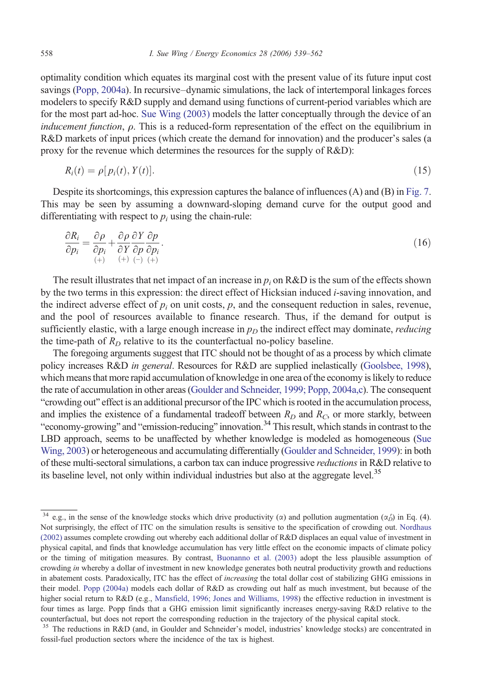optimality condition which equates its marginal cost with the present value of its future input cost savings [\(Popp, 2004a](#page-23-0)). In recursive–dynamic simulations, the lack of intertemporal linkages forces modelers to specify R&D supply and demand using functions of current-period variables which are for the most part ad-hoc. [Sue Wing \(2003\)](#page-23-0) models the latter conceptually through the device of an *inducement function,*  $\rho$ *.* This is a reduced-form representation of the effect on the equilibrium in R&D markets of input prices (which create the demand for innovation) and the producer's sales (a proxy for the revenue which determines the resources for the supply of R&D):

$$
R_i(t) = \rho[p_i(t), Y(t)].
$$
\n(15)

Despite its shortcomings, this expression captures the balance of influences (A) and (B) in [Fig. 7.](#page-11-0) This may be seen by assuming a downward-sloping demand curve for the output good and differentiating with respect to  $p_i$  using the chain-rule:

$$
\frac{\partial R_i}{\partial p_i} = \frac{\partial \rho}{\partial p_i} + \frac{\partial \rho}{\partial Y} \frac{\partial Y}{\partial p} \frac{\partial p}{\partial p_i}.
$$
\n
$$
\overset{(16)}{\underset{(+)}{\partial p_i}} \frac{(\partial P_i)}{(\partial p_i)} = \frac{\partial P_i}{\partial p_i}.
$$

The result illustrates that net impact of an increase in  $p_i$  on R&D is the sum of the effects shown by the two terms in this expression: the direct effect of Hicksian induced i-saving innovation, and the indirect adverse effect of  $p_i$  on unit costs,  $p$ , and the consequent reduction in sales, revenue, and the pool of resources available to finance research. Thus, if the demand for output is sufficiently elastic, with a large enough increase in  $p<sub>D</sub>$  the indirect effect may dominate, *reducing* the time-path of  $R_D$  relative to its the counterfactual no-policy baseline.

The foregoing arguments suggest that ITC should not be thought of as a process by which climate policy increases R&D in general. Resources for R&D are supplied inelastically [\(Goolsbee, 1998\)](#page-22-0), which means that more rapid accumulation of knowledge in one area of the economy is likely to reduce the rate of accumulation in other areas [\(Goulder and Schneider, 1999; Popp, 2004a,c](#page-22-0)). The consequent "crowding out" effect is an additional precursor of the IPC which is rooted in the accumulation process, and implies the existence of a fundamental tradeoff between  $R_D$  and  $R_C$ , or more starkly, between "economy-growing" and "emission-reducing" innovation.<sup>34</sup> This result, which stands in contrast to the LBD approach, seems to be unaffected by whether knowledge is modeled as homogeneous [\(Sue](#page-23-0) [Wing, 2003](#page-23-0)) or heterogeneous and accumulating differentially [\(Goulder and Schneider, 1999](#page-22-0)): in both of these multi-sectoral simulations, a carbon tax can induce progressive reductions in R&D relative to its baseline level, not only within individual industries but also at the aggregate level.<sup>35</sup>

<sup>&</sup>lt;sup>34</sup> e.g., in the sense of the knowledge stocks which drive productivity ( $\alpha$ ) and pollution augmentation ( $\alpha$ <sup>*f*</sup>) in Eq. (4). Not surprisingly, the effect of ITC on the simulation results is sensitive to the specification of crowding out. [Nordhaus](#page-23-0) [\(2002\)](#page-23-0) assumes complete crowding out whereby each additional dollar of R&D displaces an equal value of investment in physical capital, and finds that knowledge accumulation has very little effect on the economic impacts of climate policy or the timing of mitigation measures. By contrast, [Buonanno et al. \(2003\)](#page-21-0) adopt the less plausible assumption of crowding in whereby a dollar of investment in new knowledge generates both neutral productivity growth and reductions in abatement costs. Paradoxically, ITC has the effect of *increasing* the total dollar cost of stabilizing GHG emissions in their model. [Popp \(2004a\)](#page-23-0) models each dollar of R&D as crowding out half as much investment, but because of the higher social return to R&D (e.g., [Mansfield, 1996; Jones and Williams, 1998\)](#page-22-0) the effective reduction in investment is four times as large. Popp finds that a GHG emission limit significantly increases energy-saving R&D relative to the counterfactual, but does not report the corresponding reduction in the trajectory of the physical capital stock.

<sup>&</sup>lt;sup>35</sup> The reductions in R&D (and, in Goulder and Schneider's model, industries' knowledge stocks) are concentrated in fossil-fuel production sectors where the incidence of the tax is highest.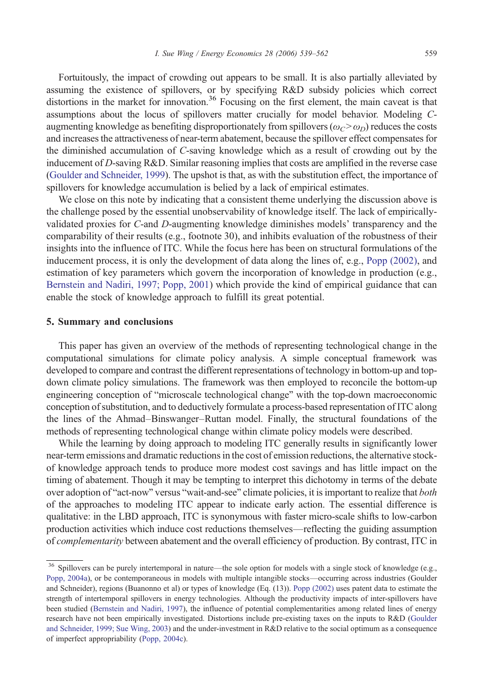Fortuitously, the impact of crowding out appears to be small. It is also partially alleviated by assuming the existence of spillovers, or by specifying R&D subsidy policies which correct distortions in the market for innovation.<sup>36</sup> Focusing on the first element, the main caveat is that assumptions about the locus of spillovers matter crucially for model behavior. Modeling Caugmenting knowledge as benefiting disproportionately from spillovers ( $\omega_C > \omega_D$ ) reduces the costs and increases the attractiveness of near-term abatement, because the spillover effect compensates for the diminished accumulation of C-saving knowledge which as a result of crowding out by the inducement of D-saving R&D. Similar reasoning implies that costs are amplified in the reverse case [\(Goulder and Schneider, 1999\)](#page-22-0). The upshot is that, as with the substitution effect, the importance of spillovers for knowledge accumulation is belied by a lack of empirical estimates.

We close on this note by indicating that a consistent theme underlying the discussion above is the challenge posed by the essential unobservability of knowledge itself. The lack of empiricallyvalidated proxies for C-and D-augmenting knowledge diminishes models' transparency and the comparability of their results (e.g., footnote 30), and inhibits evaluation of the robustness of their insights into the influence of ITC. While the focus here has been on structural formulations of the inducement process, it is only the development of data along the lines of, e.g., [Popp \(2002\)](#page-23-0), and estimation of key parameters which govern the incorporation of knowledge in production (e.g., [Bernstein and Nadiri, 1997; Popp, 2001](#page-21-0)) which provide the kind of empirical guidance that can enable the stock of knowledge approach to fulfill its great potential.

#### 5. Summary and conclusions

This paper has given an overview of the methods of representing technological change in the computational simulations for climate policy analysis. A simple conceptual framework was developed to compare and contrast the different representations of technology in bottom-up and topdown climate policy simulations. The framework was then employed to reconcile the bottom-up engineering conception of "microscale technological change" with the top-down macroeconomic conception of substitution, and to deductively formulate a process-based representation of ITC along the lines of the Ahmad–Binswanger–Ruttan model. Finally, the structural foundations of the methods of representing technological change within climate policy models were described.

While the learning by doing approach to modeling ITC generally results in significantly lower near-term emissions and dramatic reductions in the cost of emission reductions, the alternative stockof knowledge approach tends to produce more modest cost savings and has little impact on the timing of abatement. Though it may be tempting to interpret this dichotomy in terms of the debate over adoption of "act-now" versus "wait-and-see" climate policies, it is important to realize that both of the approaches to modeling ITC appear to indicate early action. The essential difference is qualitative: in the LBD approach, ITC is synonymous with faster micro-scale shifts to low-carbon production activities which induce cost reductions themselves—reflecting the guiding assumption of complementarity between abatement and the overall efficiency of production. By contrast, ITC in

<sup>&</sup>lt;sup>36</sup> Spillovers can be purely intertemporal in nature—the sole option for models with a single stock of knowledge (e.g., [Popp, 2004a\)](#page-23-0), or be contemporaneous in models with multiple intangible stocks—occurring across industries (Goulder and Schneider), regions (Buanonno et al) or types of knowledge (Eq. (13)). [Popp \(2002\)](#page-23-0) uses patent data to estimate the strength of intertemporal spillovers in energy technologies. Although the productivity impacts of inter-spillovers have been studied [\(Bernstein and Nadiri, 1997](#page-21-0)), the influence of potential complementarities among related lines of energy research have not been empirically investigated. Distortions include pre-existing taxes on the inputs to R&D [\(Goulder](#page-22-0) [and Schneider, 1999; Sue Wing, 2003\)](#page-22-0) and the under-investment in R&D relative to the social optimum as a consequence of imperfect appropriability [\(Popp, 2004c](#page-23-0)).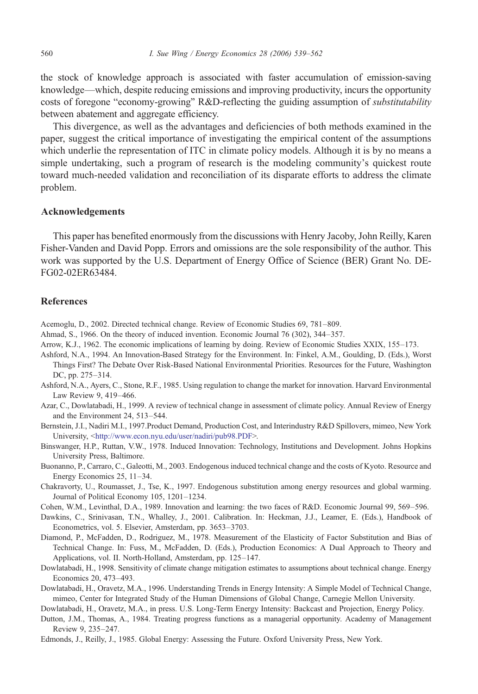<span id="page-21-0"></span>the stock of knowledge approach is associated with faster accumulation of emission-saving knowledge—which, despite reducing emissions and improving productivity, incurs the opportunity costs of foregone "economy-growing" R&D-reflecting the guiding assumption of *substitutability* between abatement and aggregate efficiency.

This divergence, as well as the advantages and deficiencies of both methods examined in the paper, suggest the critical importance of investigating the empirical content of the assumptions which underlie the representation of ITC in climate policy models. Although it is by no means a simple undertaking, such a program of research is the modeling community's quickest route toward much-needed validation and reconciliation of its disparate efforts to address the climate problem.

# Acknowledgements

This paper has benefited enormously from the discussions with Henry Jacoby, John Reilly, Karen Fisher-Vanden and David Popp. Errors and omissions are the sole responsibility of the author. This work was supported by the U.S. Department of Energy Office of Science (BER) Grant No. DE-FG02-02ER63484.

# References

- Acemoglu, D., 2002. Directed technical change. Review of Economic Studies 69, 781–809.
- Ahmad, S., 1966. On the theory of induced invention. Economic Journal 76 (302), 344–357.
- Arrow, K.J., 1962. The economic implications of learning by doing. Review of Economic Studies XXIX, 155–173.
- Ashford, N.A., 1994. An Innovation-Based Strategy for the Environment. In: Finkel, A.M., Goulding, D. (Eds.), Worst Things First? The Debate Over Risk-Based National Environmental Priorities. Resources for the Future, Washington DC, pp. 275–314.
- Ashford, N.A., Ayers, C., Stone, R.F., 1985. Using regulation to change the market for innovation. Harvard Environmental Law Review 9, 419–466.
- Azar, C., Dowlatabadi, H., 1999. A review of technical change in assessment of climate policy. Annual Review of Energy and the Environment 24, 513–544.
- Bernstein, J.I., Nadiri M.I., 1997.Product Demand, Production Cost, and Interindustry R&D Spillovers, mimeo, New York University, <<http://www.econ.nyu.edu/user/nadiri/pub98.PDF>>.
- Binswanger, H.P., Ruttan, V.W., 1978. Induced Innovation: Technology, Institutions and Development. Johns Hopkins University Press, Baltimore.
- Buonanno, P., Carraro, C., Galeotti, M., 2003. Endogenous induced technical change and the costs of Kyoto. Resource and Energy Economics 25, 11–34.
- Chakravorty, U., Roumasset, J., Tse, K., 1997. Endogenous substitution among energy resources and global warming. Journal of Political Economy 105, 1201–1234.
- Cohen, W.M., Levinthal, D.A., 1989. Innovation and learning: the two faces of R&D. Economic Journal 99, 569–596.
- Dawkins, C., Srinivasan, T.N., Whalley, J., 2001. Calibration. In: Heckman, J.J., Leamer, E. (Eds.), Handbook of Econometrics, vol. 5. Elsevier, Amsterdam, pp. 3653–3703.
- Diamond, P., McFadden, D., Rodriguez, M., 1978. Measurement of the Elasticity of Factor Substitution and Bias of Technical Change. In: Fuss, M., McFadden, D. (Eds.), Production Economics: A Dual Approach to Theory and Applications, vol. II. North-Holland, Amsterdam, pp. 125–147.
- Dowlatabadi, H., 1998. Sensitivity of climate change mitigation estimates to assumptions about technical change. Energy Economics 20, 473–493.
- Dowlatabadi, H., Oravetz, M.A., 1996. Understanding Trends in Energy Intensity: A Simple Model of Technical Change, mimeo, Center for Integrated Study of the Human Dimensions of Global Change, Carnegie Mellon University.
- Dowlatabadi, H., Oravetz, M.A., in press. U.S. Long-Term Energy Intensity: Backcast and Projection, Energy Policy.
- Dutton, J.M., Thomas, A., 1984. Treating progress functions as a managerial opportunity. Academy of Management Review 9, 235–247.
- Edmonds, J., Reilly, J., 1985. Global Energy: Assessing the Future. Oxford University Press, New York.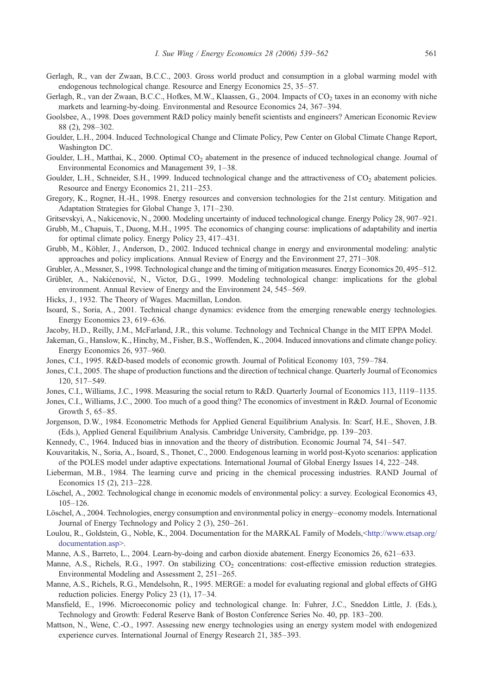- <span id="page-22-0"></span>Gerlagh, R., van der Zwaan, B.C.C., 2003. Gross world product and consumption in a global warming model with endogenous technological change. Resource and Energy Economics 25, 35–57.
- Gerlagh, R., van der Zwaan, B.C.C., Hofkes, M.W., Klaassen, G., 2004. Impacts of CO<sub>2</sub> taxes in an economy with niche markets and learning-by-doing. Environmental and Resource Economics 24, 367–394.
- Goolsbee, A., 1998. Does government R&D policy mainly benefit scientists and engineers? American Economic Review 88 (2), 298–302.
- Goulder, L.H., 2004. Induced Technological Change and Climate Policy, Pew Center on Global Climate Change Report, Washington DC.
- Goulder, L.H., Matthai, K., 2000. Optimal  $CO<sub>2</sub>$  abatement in the presence of induced technological change. Journal of Environmental Economics and Management 39, 1–38.
- Goulder, L.H., Schneider, S.H., 1999. Induced technological change and the attractiveness of CO<sub>2</sub> abatement policies. Resource and Energy Economics 21, 211–253.
- Gregory, K., Rogner, H.-H., 1998. Energy resources and conversion technologies for the 21st century. Mitigation and Adaptation Strategies for Global Change 3, 171–230.
- Gritsevskyi, A., Nakicenovic, N., 2000. Modeling uncertainty of induced technological change. Energy Policy 28, 907–921.
- Grubb, M., Chapuis, T., Duong, M.H., 1995. The economics of changing course: implications of adaptability and inertia for optimal climate policy. Energy Policy 23, 417–431.
- Grubb, M., Köhler, J., Anderson, D., 2002. Induced technical change in energy and environmental modeling: analytic approaches and policy implications. Annual Review of Energy and the Environment 27, 271–308.
- Grubler, A., Messner, S., 1998. Technological change and the timing of mitigation measures. Energy Economics 20, 495–512.
- Grübler, A., Nakićenović, N., Victor, D.G., 1999. Modeling technological change: implications for the global environment. Annual Review of Energy and the Environment 24, 545–569.
- Hicks, J., 1932. The Theory of Wages. Macmillan, London.
- Isoard, S., Soria, A., 2001. Technical change dynamics: evidence from the emerging renewable energy technologies. Energy Economics 23, 619–636.
- Jacoby, H.D., Reilly, J.M., McFarland, J.R., this volume. Technology and Technical Change in the MIT EPPA Model.
- Jakeman, G., Hanslow, K., Hinchy, M., Fisher, B.S., Woffenden, K., 2004. Induced innovations and climate change policy. Energy Economics 26, 937–960.
- Jones, C.I., 1995. R&D-based models of economic growth. Journal of Political Economy 103, 759–784.
- Jones, C.I., 2005. The shape of production functions and the direction of technical change. Quarterly Journal of Economics 120, 517–549.
- Jones, C.I., Williams, J.C., 1998. Measuring the social return to R&D. Quarterly Journal of Economics 113, 1119–1135.
- Jones, C.I., Williams, J.C., 2000. Too much of a good thing? The economics of investment in R&D. Journal of Economic Growth 5, 65–85.
- Jorgenson, D.W., 1984. Econometric Methods for Applied General Equilibrium Analysis. In: Scarf, H.E., Shoven, J.B. (Eds.), Applied General Equilibrium Analysis. Cambridge University, Cambridge, pp. 139–203.
- Kennedy, C., 1964. Induced bias in innovation and the theory of distribution. Economic Journal 74, 541–547.
- Kouvaritakis, N., Soria, A., Isoard, S., Thonet, C., 2000. Endogenous learning in world post-Kyoto scenarios: application of the POLES model under adaptive expectations. International Journal of Global Energy Issues 14, 222–248.
- Lieberman, M.B., 1984. The learning curve and pricing in the chemical processing industries. RAND Journal of Economics 15 (2), 213–228.
- Löschel, A., 2002. Technological change in economic models of environmental policy: a survey. Ecological Economics 43, 105–126.
- Löschel, A., 2004. Technologies, energy consumption and environmental policy in energy–economy models. International Journal of Energy Technology and Policy 2 (3), 250–261.
- Loulou, R., Goldstein, G., Noble, K., 2004. Documentation for the MARKAL Family of Models,<[http://www.etsap.org/](http://www.etsap.org/documentation.asp) [documentation.asp](http://www.etsap.org/documentation.asp)>.
- Manne, A.S., Barreto, L., 2004. Learn-by-doing and carbon dioxide abatement. Energy Economics 26, 621–633.
- Manne, A.S., Richels, R.G., 1997. On stabilizing  $CO<sub>2</sub>$  concentrations: cost-effective emission reduction strategies. Environmental Modeling and Assessment 2, 251–265.
- Manne, A.S., Richels, R.G., Mendelsohn, R., 1995. MERGE: a model for evaluating regional and global effects of GHG reduction policies. Energy Policy 23 (1), 17–34.
- Mansfield, E., 1996. Microeconomic policy and technological change. In: Fuhrer, J.C., Sneddon Little, J. (Eds.), Technology and Growth: Federal Reserve Bank of Boston Conference Series No. 40, pp. 183–200.
- Mattson, N., Wene, C.-O., 1997. Assessing new energy technologies using an energy system model with endogenized experience curves. International Journal of Energy Research 21, 385–393.